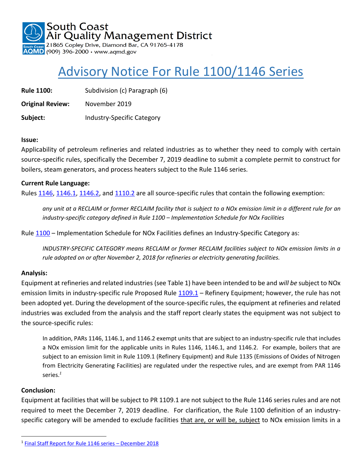South Coast Air Quality Management District

21865 Copley Drive, Diamond Bar, CA 91765-4178  $\overline{QMD}$  (909) 396-2000  $\cdot$  www.aqmd.gov

# Advisory Notice For Rule 1100/1146 Series

**Rule 1100:** Subdivision (c) Paragraph (6)

**Original Review:** November 2019

**Subject:** Industry-Specific Category

#### **Issue:**

Applicability of petroleum refineries and related industries as to whether they need to comply with certain source-specific rules, specifically the December 7, 2019 deadline to submit a complete permit to construct for boilers, steam generators, and process heaters subject to the Rule 1146 series.

#### **Current Rule Language:**

Rules [1146,](http://www.aqmd.gov/docs/default-source/rule-book/reg-xi/rule-1146.pdf?sfvrsn=4) [1146.1,](http://www.aqmd.gov/docs/default-source/rule-book/reg-xi/rule-1146-1.pdf?sfvrsn=4) [1146.2,](http://www.aqmd.gov/docs/default-source/rule-book/reg-xi/rule-1146-2.pdf?sfvrsn=4) and [1110.2](http://www.aqmd.gov/docs/default-source/rule-book/reg-xi/rule-1110-2.pdf?sfvrsn=4) are all source-specific rules that contain the following exemption:

*any unit at a RECLAIM or former RECLAIM facility that is subject to a NOx emission limit in a different rule for an industry-specific category defined in Rule 1100 – Implementation Schedule for NOx Facilities*

Rule [1100](http://www.aqmd.gov/docs/default-source/rule-book/reg-xi/rule-1100.pdf?sfvrsn=10) – Implementation Schedule for NOx Facilities defines an Industry-Specific Category as:

*INDUSTRY-SPECIFIC CATEGORY means RECLAIM or former RECLAIM facilities subject to NOx emission limits in a rule adopted on or after November 2, 2018 for refineries or electricity generating facilities.*

#### **Analysis:**

Equipment at refineries and related industries (see Table 1) have been intended to be and *will be* subject to NOx emission limits in industry-specific rule Proposed Rule [1109.1](http://www.aqmd.gov/home/rules-compliance/rules/scaqmd-rule-book/proposed-rules/proposed-rule-1109-1) – Refinery Equipment; however, the rule has not been adopted yet. During the development of the source-specific rules, the equipment at refineries and related industries was excluded from the analysis and the staff report clearly states the equipment was not subject to the source-specific rules:

In addition, PARs 1146, 1146.1, and 1146.2 exempt units that are subject to an industry-specific rule that includes a NOx emission limit for the applicable units in Rules 1146, 1146.1, and 1146.2. For example, boilers that are subject to an emission limit in Rule 1109.1 (Refinery Equipment) and Rule 1135 (Emissions of Oxides of Nitrogen from Electricity Generating Facilities) are regulated under the respective rules, and are exempt from PAR 1146 series.*<sup>1</sup>*

#### **Conclusion:**

 $\overline{\phantom{a}}$ 

Equipment at facilities that will be subject to PR 1109.1 are not subject to the Rule 1146 series rules and are not required to meet the December 7, 2019 deadline. For clarification, the Rule 1100 definition of an industryspecific category will be amended to exclude facilities that are, or will be, subject to NOx emission limits in a

<sup>&</sup>lt;sup>1</sup> [Final Staff Report for Rule 1146 series](http://www.aqmd.gov/docs/default-source/Agendas/Governing-Board/2018/2018-dec7-028.pdf?sfvrsn=6) – December 2018